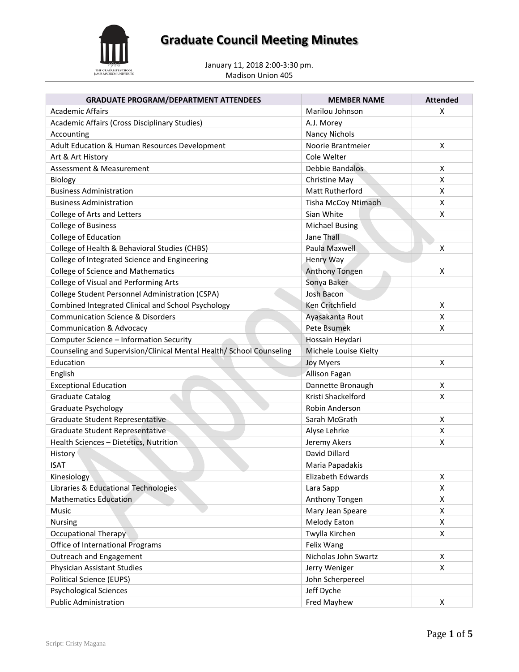

# **Graduate Council Meeting Minutes**

January 11, 2018 2:00-3:30 pm. Madison Union 405

| <b>GRADUATE PROGRAM/DEPARTMENT ATTENDEES</b>                         | <b>MEMBER NAME</b>    | <b>Attended</b>    |
|----------------------------------------------------------------------|-----------------------|--------------------|
| Academic Affairs                                                     | Marilou Johnson       | X                  |
| Academic Affairs (Cross Disciplinary Studies)                        | A.J. Morey            |                    |
| Accounting                                                           | <b>Nancy Nichols</b>  |                    |
| Adult Education & Human Resources Development                        | Noorie Brantmeier     | $\pmb{\mathsf{X}}$ |
| Art & Art History                                                    | Cole Welter           |                    |
| Assessment & Measurement                                             | Debbie Bandalos       | X                  |
| Biology                                                              | Christine May         | X                  |
| <b>Business Administration</b>                                       | Matt Rutherford       | X                  |
| <b>Business Administration</b>                                       | Tisha McCoy Ntimaoh   | X                  |
| College of Arts and Letters                                          | Sian White            | X                  |
| <b>College of Business</b>                                           | <b>Michael Busing</b> |                    |
| College of Education                                                 | Jane Thall            |                    |
| College of Health & Behavioral Studies (CHBS)                        | Paula Maxwell         | X                  |
| College of Integrated Science and Engineering                        | Henry Way             |                    |
| <b>College of Science and Mathematics</b>                            | Anthony Tongen        | Χ                  |
| College of Visual and Performing Arts                                | Sonya Baker           |                    |
| College Student Personnel Administration (CSPA)                      | Josh Bacon            |                    |
| Combined Integrated Clinical and School Psychology                   | Ken Critchfield       | X                  |
| <b>Communication Science &amp; Disorders</b>                         | Ayasakanta Rout       | Χ                  |
| <b>Communication &amp; Advocacy</b>                                  | Pete Bsumek           | X                  |
| Computer Science - Information Security                              | Hossain Heydari       |                    |
| Counseling and Supervision/Clinical Mental Health/ School Counseling | Michele Louise Kielty |                    |
| Education                                                            | <b>Joy Myers</b>      | X                  |
| English                                                              | Allison Fagan         |                    |
| <b>Exceptional Education</b>                                         | Dannette Bronaugh     | X                  |
| <b>Graduate Catalog</b>                                              | Kristi Shackelford    | X                  |
| Graduate Psychology                                                  | Robin Anderson        |                    |
| Graduate Student Representative                                      | Sarah McGrath         | Χ                  |
| <b>Graduate Student Representative</b>                               | Alyse Lehrke          | X                  |
| Health Sciences - Dietetics, Nutrition                               | Jeremy Akers          | Χ                  |
| History                                                              | David Dillard         |                    |
| <b>ISAT</b>                                                          | Maria Papadakis       |                    |
| Kinesiology                                                          | Elizabeth Edwards     | X                  |
| Libraries & Educational Technologies                                 | Lara Sapp             | X                  |
| <b>Mathematics Education</b>                                         | Anthony Tongen        | X                  |
| Music                                                                | Mary Jean Speare      | X                  |
| Nursing                                                              | <b>Melody Eaton</b>   | X                  |
| <b>Occupational Therapy</b>                                          | Twylla Kirchen        | X                  |
| Office of International Programs                                     | Felix Wang            |                    |
| Outreach and Engagement                                              | Nicholas John Swartz  | Χ                  |
| Physician Assistant Studies                                          | Jerry Weniger         | X                  |
| <b>Political Science (EUPS)</b>                                      | John Scherpereel      |                    |
| <b>Psychological Sciences</b>                                        | Jeff Dyche            |                    |
| <b>Public Administration</b>                                         | Fred Mayhew           | X                  |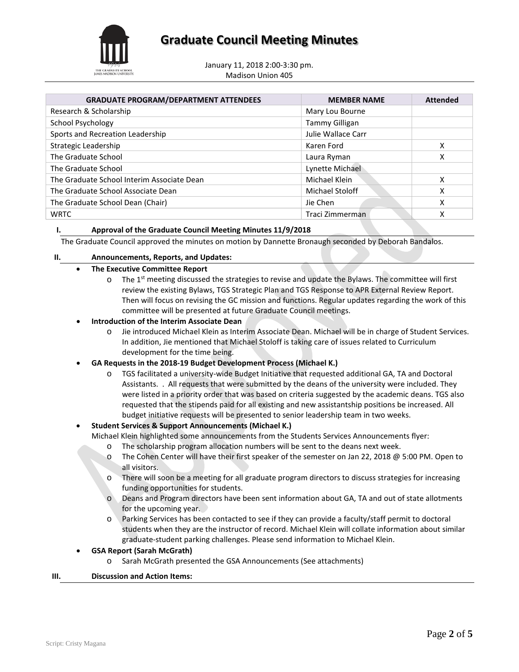

January 11, 2018 2:00-3:30 pm. Madison Union 405

| <b>GRADUATE PROGRAM/DEPARTMENT ATTENDEES</b> | <b>MEMBER NAME</b> | <b>Attended</b> |
|----------------------------------------------|--------------------|-----------------|
| Research & Scholarship                       | Mary Lou Bourne    |                 |
| School Psychology                            | Tammy Gilligan     |                 |
| Sports and Recreation Leadership             | Julie Wallace Carr |                 |
| Strategic Leadership                         | Karen Ford         | х               |
| The Graduate School                          | Laura Ryman        | x               |
| The Graduate School                          | Lynette Michael    |                 |
| The Graduate School Interim Associate Dean   | Michael Klein      | x               |
| The Graduate School Associate Dean           | Michael Stoloff    | χ               |
| The Graduate School Dean (Chair)             | Jie Chen           | x               |
| <b>WRTC</b>                                  | Traci Zimmerman    |                 |

#### **I. Approval of the Graduate Council Meeting Minutes 11/9/2018**

The Graduate Council approved the minutes on motion by Dannette Bronaugh seconded by Deborah Bandalos.

#### **II. Announcements, Reports, and Updates:**

#### • **The Executive Committee Report**

 $\circ$  The 1<sup>st</sup> meeting discussed the strategies to revise and update the Bylaws. The committee will first review the existing Bylaws, TGS Strategic Plan and TGS Response to APR External Review Report. Then will focus on revising the GC mission and functions. Regular updates regarding the work of this committee will be presented at future Graduate Council meetings.

#### • **Introduction of the Interim Associate Dean**

o Jie introduced Michael Klein as Interim Associate Dean. Michael will be in charge of Student Services. In addition, Jie mentioned that Michael Stoloff is taking care of issues related to Curriculum development for the time being.

#### • **GA Requests in the 2018-19 Budget Development Process (Michael K.)**

o TGS facilitated a university-wide Budget Initiative that requested additional GA, TA and Doctoral Assistants. . All requests that were submitted by the deans of the university were included. They were listed in a priority order that was based on criteria suggested by the academic deans. TGS also requested that the stipends paid for all existing and new assistantship positions be increased. All budget initiative requests will be presented to senior leadership team in two weeks.

#### • **Student Services & Support Announcements (Michael K.)**

Michael Klein highlighted some announcements from the Students Services Announcements flyer:

- o The scholarship program allocation numbers will be sent to the deans next week.
- o The Cohen Center will have their first speaker of the semester on Jan 22, 2018 @ 5:00 PM. Open to all visitors.
- o There will soon be a meeting for all graduate program directors to discuss strategies for increasing funding opportunities for students.
- o Deans and Program directors have been sent information about GA, TA and out of state allotments for the upcoming year.
- o Parking Services has been contacted to see if they can provide a faculty/staff permit to doctoral students when they are the instructor of record. Michael Klein will collate information about similar graduate-student parking challenges. Please send information to Michael Klein.

#### • **GSA Report (Sarah McGrath)**

o Sarah McGrath presented the GSA Announcements (See attachments)

#### **III. Discussion and Action Items:**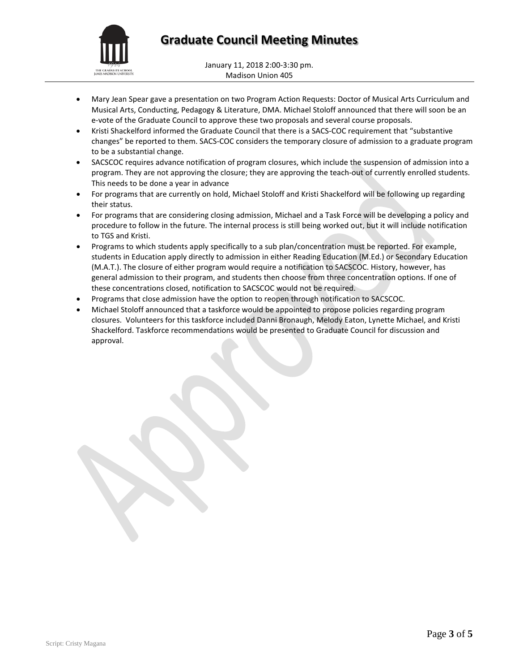

January 11, 2018 2:00-3:30 pm. Madison Union 405

- Mary Jean Spear gave a presentation on two Program Action Requests: Doctor of Musical Arts Curriculum and Musical Arts, Conducting, Pedagogy & Literature, DMA. Michael Stoloff announced that there will soon be an e-vote of the Graduate Council to approve these two proposals and several course proposals.
- Kristi Shackelford informed the Graduate Council that there is a SACS-COC requirement that "substantive changes" be reported to them. SACS-COC considers the temporary closure of admission to a graduate program to be a substantial change.
- SACSCOC requires advance notification of program closures, which include the suspension of admission into a program. They are not approving the closure; they are approving the teach-out of currently enrolled students. This needs to be done a year in advance
- For programs that are currently on hold, Michael Stoloff and Kristi Shackelford will be following up regarding their status.
- For programs that are considering closing admission, Michael and a Task Force will be developing a policy and procedure to follow in the future. The internal process is still being worked out, but it will include notification to TGS and Kristi.
- Programs to which students apply specifically to a sub plan/concentration must be reported. For example, students in Education apply directly to admission in either Reading Education (M.Ed.) or Secondary Education (M.A.T.). The closure of either program would require a notification to SACSCOC. History, however, has general admission to their program, and students then choose from three concentration options. If one of these concentrations closed, notification to SACSCOC would not be required.
- Programs that close admission have the option to reopen through notification to SACSCOC.
- Michael Stoloff announced that a taskforce would be appointed to propose policies regarding program closures. Volunteers for this taskforce included Danni Bronaugh, Melody Eaton, Lynette Michael, and Kristi Shackelford. Taskforce recommendations would be presented to Graduate Council for discussion and approval.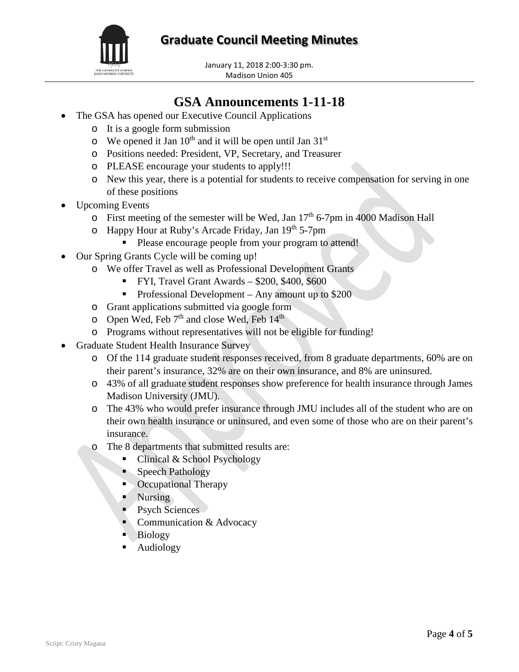**Graduate Council Meeting Minutes**



January 11, 2018 2:00-3:30 pm. Madison Union 405

### **GSA Announcements 1-11-18**

- The GSA has opened our Executive Council Applications
	- o It is a google form submission
	- $\circ$  We opened it Jan 10<sup>th</sup> and it will be open until Jan 31<sup>st</sup>
	- o Positions needed: President, VP, Secretary, and Treasurer
	- o PLEASE encourage your students to apply!!!
	- o New this year, there is a potential for students to receive compensation for serving in one of these positions
- Upcoming Events
	- $\circ$  First meeting of the semester will be Wed, Jan 17<sup>th</sup> 6-7pm in 4000 Madison Hall
	- o Happy Hour at Ruby's Arcade Friday, Jan 19th 5-7pm
		- Please encourage people from your program to attend!
- Our Spring Grants Cycle will be coming up!
	- o We offer Travel as well as Professional Development Grants
		- FYI, Travel Grant Awards \$200, \$400, \$600
		- Professional Development Any amount up to  $$200$
	- o Grant applications submitted via google form
	- $\degree$  Open Wed, Feb 7<sup>th</sup> and close Wed, Feb 14<sup>th</sup>
	- o Programs without representatives will not be eligible for funding!
- Graduate Student Health Insurance Survey
	- o Of the 114 graduate student responses received, from 8 graduate departments, 60% are on their parent's insurance, 32% are on their own insurance, and 8% are uninsured.
	- o 43% of all graduate student responses show preference for health insurance through James Madison University (JMU).
	- o The 43% who would prefer insurance through JMU includes all of the student who are on their own health insurance or uninsured, and even some of those who are on their parent's insurance.
	- o The 8 departments that submitted results are:
		- Clinical & School Psychology
		- Speech Pathology
		- Occupational Therapy
		- **Nursing**
		- Psych Sciences
		- Communication & Advocacy
		- Biology
		- Audiology